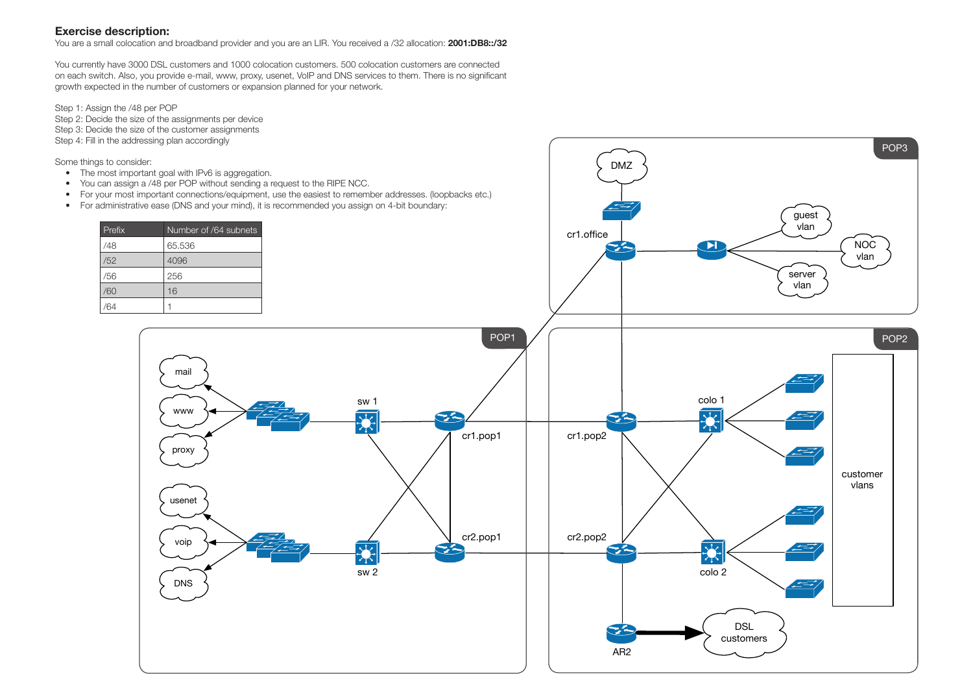## **Exercise description:**

You are a small colocation and broadband provider and you are an LIR. You received a /32 allocation: **2001:DB8::/32**

You currently have 3000 DSL customers and 1000 colocation customers. 500 colocation customers are connected on each switch. Also, you provide e-mail, www, proxy, usenet, VoIP and DNS services to them. There is no significant growth expected in the number of customers or expansion planned for your network.



Step 1: Assign the /48 per POP Step 2: Decide the size of the assignments per device Step 3: Decide the size of the customer assignments Step 4: Fill in the addressing plan accordingly

Some things to consider:

- The most important goal with IPv6 is aggregation.
- You can assign a /48 per POP without sending a request to the RIPE NCC.
- For your most important connections/equipment, use the easiest to remember addresses. (loopbacks etc.)
- For administrative ease (DNS and your mind), it is recommended you assign on 4-bit boundary:

| Number of /64 subnets |
|-----------------------|
| 65.536                |
| 4096                  |
| 256                   |
| 16                    |
|                       |
|                       |